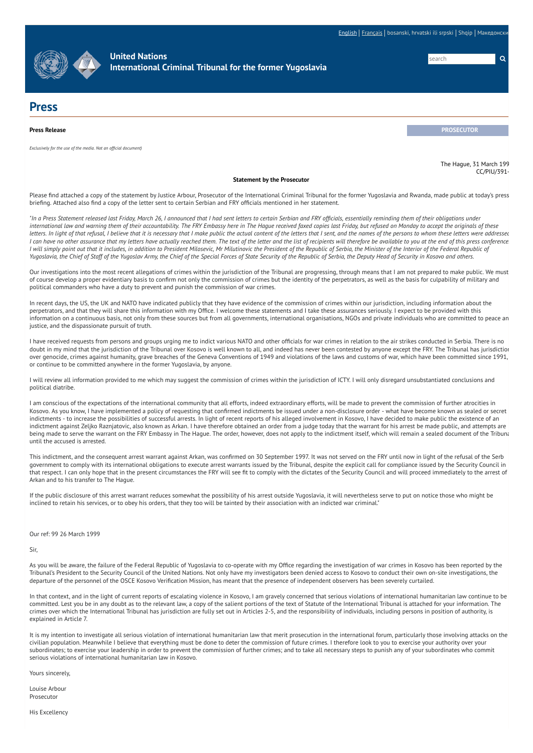[English](http://www.icty.org/en/press/statement-prosecutor-0) | [Français](http://www.icty.org/fr/press/d%C3%A9claration-du-procureur-0) | bosanski, hrvatski ili srpski | Shqip | Македонск



**United Nations [International](http://www.icty.org/en) Criminal Tribunal for the former Yugoslavia**

search **Q** 

## **Press**

**Press Release PROSECUTOR** *Exclusively for the use of the media. Not an official document)*

> The Hague, 31 March 199  $CC/PIII/391$

## **Statement by the Prosecutor**

Please find attached a copy of the statement by Justice Arbour, Prosecutor of the International Criminal Tribunal for the former Yugoslavia and Rwanda, made public at today's press briefing. Attached also find a copy of the letter sent to certain Serbian and FRY officials mentioned in her statement.

"In a Press Statement released last Friday, March 26, I announced that I had sent letters to certain Serbian and FRY officials, essentially reminding them of their obligations under international law and warning them of their accountability. The FRY Embassy here in The Hague received faxed copies last Friday, but refused on Monday to accept the originals of these letters. In light of that refusal, I believe that it is necessary that I make public the actual content of the letters that I sent, and the names of the persons to whom these letters were addressed I can have no other assurance that my letters have actually reached them. The text of the letter and the list of recipients will therefore be available to you at the end of this press conference I will simply point out that it includes, in addition to President Milosevic, Mr Milutinovic the President of the Republic of Serbia, the Minister of the Interior of the Federal Republic of Yugoslavia, the Chief of Staff of the Yugoslav Army, the Chief of the Special Forces of State Security of the Republic of Serbia, the Deputy Head of Security in Kosovo and others.

Our investigations into the most recent allegations of crimes within the jurisdiction of the Tribunal are progressing, through means that I am not prepared to make public. We must of course develop a proper evidentiary basis to confirm not only the commission of crimes but the identity of the perpetrators, as well as the basis for culpability of military and political commanders who have a duty to prevent and punish the commission of war crimes.

In recent days, the US, the UK and NATO have indicated publicly that they have evidence of the commission of crimes within our jurisdiction, including information about the perpetrators, and that they will share this information with my Office. I welcome these statements and I take these assurances seriously. I expect to be provided with this information on a continuous basis, not only from these sources but from all governments, international organisations, NGOs and private individuals who are committed to peace an justice, and the dispassionate pursuit of truth.

I have received requests from persons and groups urging me to indict various NATO and other officials for war crimes in relation to the air strikes conducted in Serbia. There is no doubt in my mind that the jurisdiction of the Tribunal over Kosovo is well known to all, and indeed has never been contested by anyone except the FRY. The Tribunal has jurisdiction over genocide, crimes against humanity, grave breaches of the Geneva Conventions of 1949 and violations of the laws and customs of war, which have been committed since 1991, or continue to be committed anywhere in the former Yugoslavia, by anyone.

I will review all information provided to me which may suggest the commission of crimes within the jurisdiction of ICTY. I will only disregard unsubstantiated conclusions and political diatribe.

I am conscious of the expectations of the international community that all efforts, indeed extraordinary efforts, will be made to prevent the commission of further atrocities in Kosovo. As you know, I have implemented a policy of requesting that confirmed indictments be issued under a non-disclosure order - what have become known as sealed or secret indictments - to increase the possibilities of successful arrests. In light of recent reports of his alleged involvement in Kosovo, I have decided to make public the existence of an indictment against Zeljko Raznjatovic, also known as Arkan. I have therefore obtained an order from a judge today that the warrant for his arrest be made public, and attempts are being made to serve the warrant on the FRY Embassy in The Hague. The order, however, does not apply to the indictment itself, which will remain a sealed document of the Tribuna until the accused is arrested.

This indictment, and the consequent arrest warrant against Arkan, was confirmed on 30 September 1997. It was not served on the FRY until now in light of the refusal of the Serb government to comply with its international obligations to execute arrest warrants issued by the Tribunal, despite the explicit call for compliance issued by the Security Council in that respect. I can only hope that in the present circumstances the FRY will see fit to comply with the dictates of the Security Council and will proceed immediately to the arrest of Arkan and to his transfer to The Hague.

If the public disclosure of this arrest warrant reduces somewhat the possibility of his arrest outside Yugoslavia, it will nevertheless serve to put on notice those who might be inclined to retain his services, or to obey his orders, that they too will be tainted by their association with an indicted war criminal."

Our ref: 99 26 March 1999

Sir,

As you will be aware, the failure of the Federal Republic of Yugoslavia to co-operate with my Office regarding the investigation of war crimes in Kosovo has been reported by the Tribunal's President to the Security Council of the United Nations. Not only have my investigators been denied access to Kosovo to conduct their own on-site investigations, the departure of the personnel of the OSCE Kosovo Verification Mission, has meant that the presence of independent observers has been severely curtailed.

In that context, and in the light of current reports of escalating violence in Kosovo, I am gravely concerned that serious violations of international humanitarian law continue to be committed. Lest you be in any doubt as to the relevant law, a copy of the salient portions of the text of Statute of the International Tribunal is attached for your information. The crimes over which the International Tribunal has jurisdiction are fully set out in Articles 2-5, and the responsibility of individuals, including persons in position of authority, is explained in Article 7.

It is my intention to investigate all serious violation of international humanitarian law that merit prosecution in the international forum, particularly those involving attacks on the civilian population. Meanwhile I believe that everything must be done to deter the commission of future crimes. I therefore look to you to exercise your authority over your subordinates; to exercise your leadership in order to prevent the commission of further crimes; and to take all necessary steps to punish any of your subordinates who commit serious violations of international humanitarian law in Kosovo.

Yours sincerely,

Louise Arbour **Prosecutor** 

His Excellency